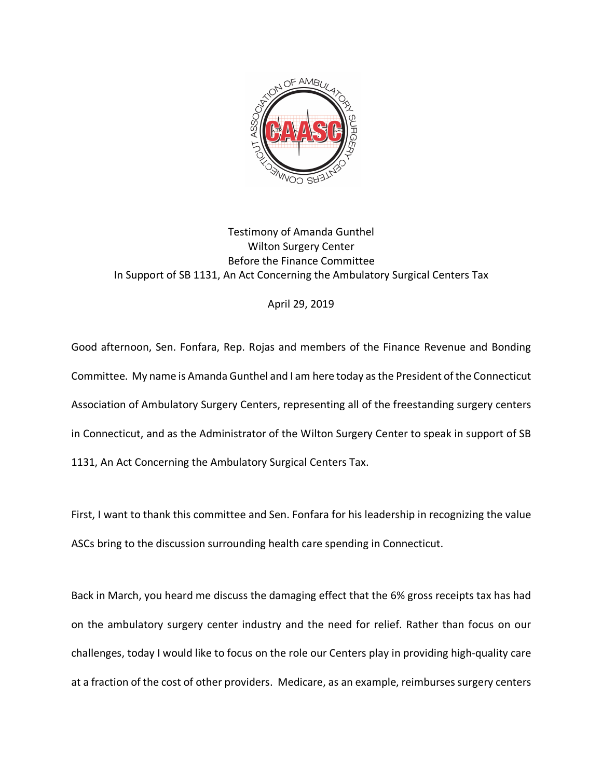

## Testimony of Amanda Gunthel Wilton Surgery Center Before the Finance Committee In Support of SB 1131, An Act Concerning the Ambulatory Surgical Centers Tax

## April 29, 2019

Good afternoon, Sen. Fonfara, Rep. Rojas and members of the Finance Revenue and Bonding Committee. My name is Amanda Gunthel and I am here today as the President of the Connecticut Association of Ambulatory Surgery Centers, representing all of the freestanding surgery centers in Connecticut, and as the Administrator of the Wilton Surgery Center to speak in support of SB 1131, An Act Concerning the Ambulatory Surgical Centers Tax.

First, I want to thank this committee and Sen. Fonfara for his leadership in recognizing the value ASCs bring to the discussion surrounding health care spending in Connecticut.

Back in March, you heard me discuss the damaging effect that the 6% gross receipts tax has had on the ambulatory surgery center industry and the need for relief. Rather than focus on our challenges, today I would like to focus on the role our Centers play in providing high-quality care at a fraction of the cost of other providers. Medicare, as an example, reimbursessurgery centers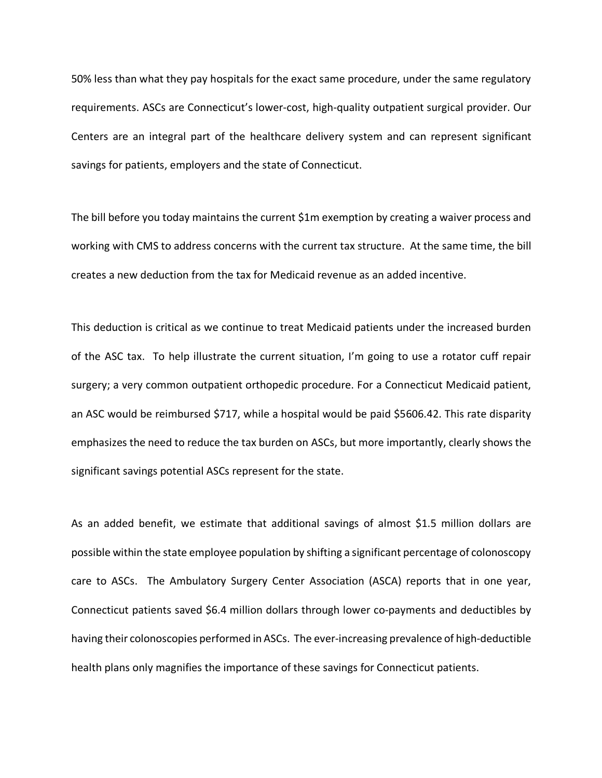50% less than what they pay hospitals for the exact same procedure, under the same regulatory requirements. ASCs are Connecticut's lower-cost, high-quality outpatient surgical provider. Our Centers are an integral part of the healthcare delivery system and can represent significant savings for patients, employers and the state of Connecticut.

The bill before you today maintains the current \$1m exemption by creating a waiver process and working with CMS to address concerns with the current tax structure. At the same time, the bill creates a new deduction from the tax for Medicaid revenue as an added incentive.

This deduction is critical as we continue to treat Medicaid patients under the increased burden of the ASC tax. To help illustrate the current situation, I'm going to use a rotator cuff repair surgery; a very common outpatient orthopedic procedure. For a Connecticut Medicaid patient, an ASC would be reimbursed \$717, while a hospital would be paid \$5606.42. This rate disparity emphasizes the need to reduce the tax burden on ASCs, but more importantly, clearly shows the significant savings potential ASCs represent for the state.

As an added benefit, we estimate that additional savings of almost \$1.5 million dollars are possible within the state employee population by shifting a significant percentage of colonoscopy care to ASCs. The Ambulatory Surgery Center Association (ASCA) reports that in one year, Connecticut patients saved \$6.4 million dollars through lower co-payments and deductibles by having their colonoscopies performed in ASCs. The ever-increasing prevalence of high-deductible health plans only magnifies the importance of these savings for Connecticut patients.